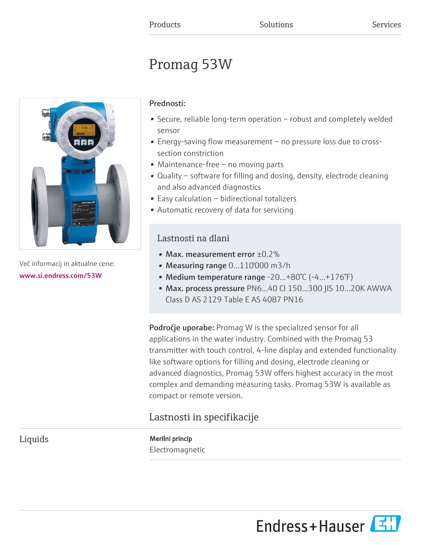# Promag 53W



Več informacij in aktualne cene: [www.si.endress.com/53W](https://www.si.endress.com/53W)

# Prednosti:

- Secure, reliable long-term operation robust and completely welded sensor
- Energy-saving flow measurement no pressure loss due to crosssection constriction
- Maintenance-free no moving parts
- Quality software for filling and dosing, density, electrode cleaning and also advanced diagnostics
- Easy calculation bidirectional totalizers
- Automatic recovery of data for servicing

# Lastnosti na dlani

- Max. measurement error  $\pm 0.2\%$
- Measuring range 0...110'000 m3/h
- Medium temperature range -20...+80°C (-4...+176°F)
- Max. process pressure PN6...40 Cl 150...300 JIS 10...20K AWWA Class D AS 2129 Table E AS 4087 PN16

Področje uporabe: Promag W is the specialized sensor for all applications in the water industry. Combined with the Promag 53 transmitter with touch control, 4-line display and extended functionality like software options for filling and dosing, electrode cleaning or advanced diagnostics, Promag 53W offers highest accuracy in the most complex and demanding measuring tasks. Promag 53W is available as compact or remote version.

# Lastnosti in specifikacije

Liquids Merilni princip Electromagnetic

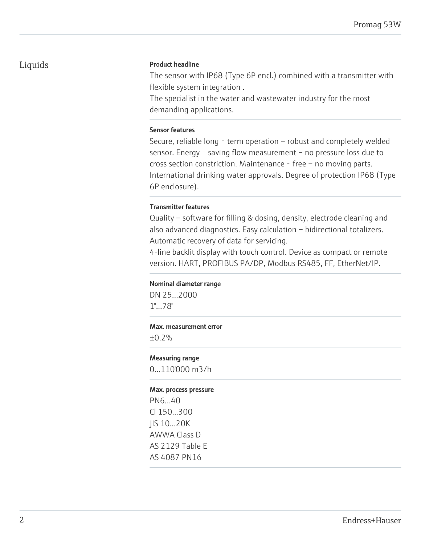# Liquids Product headline

The sensor with IP68 (Type 6P encl.) combined with a transmitter with flexible system integration .

The specialist in the water and wastewater industry for the most demanding applications.

# Sensor features

Secure, reliable long - term operation - robust and completely welded sensor. Energy - saving flow measurement – no pressure loss due to cross section constriction. Maintenance  $-$  free  $-$  no moving parts. International drinking water approvals. Degree of protection IP68 (Type 6P enclosure).

# Transmitter features

Quality – software for filling & dosing, density, electrode cleaning and also advanced diagnostics. Easy calculation – bidirectional totalizers. Automatic recovery of data for servicing.

4-line backlit display with touch control. Device as compact or remote version. HART, PROFIBUS PA/DP, Modbus RS485, FF, EtherNet/IP.

# Nominal diameter range

DN 25...2000 1"...78"

### Max. measurement error

±0.2%

### Measuring range

0...110'000 m3/h

### Max. process pressure

PN6...40 Cl 150...300 JIS 10...20K AWWA Class D AS 2129 Table E AS 4087 PN16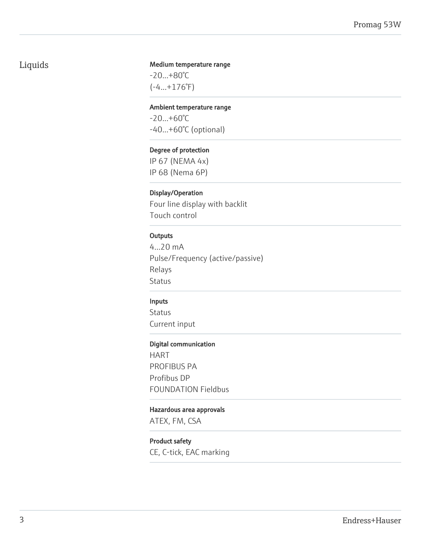# Liquids

# Medium temperature range

-20...+80°C (-4...+176°F)

# Ambient temperature range

-20...+60°C -40...+60°C (optional)

# Degree of protection

IP 67 (NEMA 4x) IP 68 (Nema 6P)

# Display/Operation

Four line display with backlit Touch control

# **Outputs**

4...20 mA Pulse/Frequency (active/passive) Relays Status

### Inputs

Status Current input

#### Digital communication

HART PROFIBUS PA Profibus DP FOUNDATION Fieldbus

# Hazardous area approvals

ATEX, FM, CSA

# Product safety

CE, C-tick, EAC marking